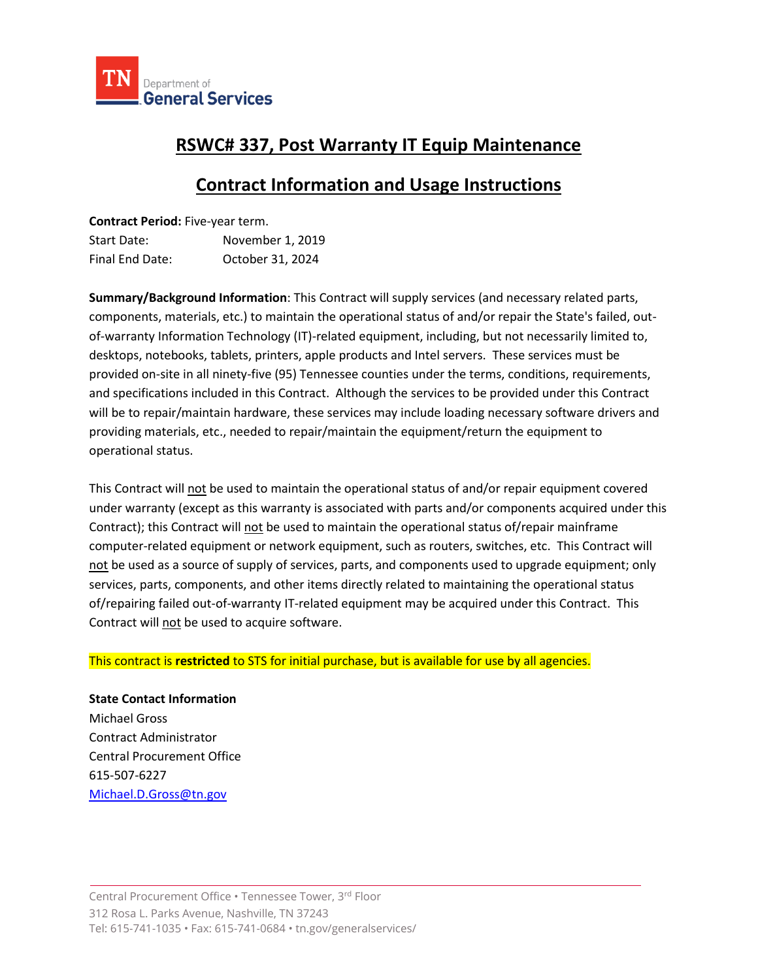

## **RSWC# 337, Post Warranty IT Equip Maintenance**

# **Contract Information and Usage Instructions**

| Contract Period: Five-year term. |                  |
|----------------------------------|------------------|
| Start Date:                      | November 1, 2019 |
| Final End Date:                  | October 31, 2024 |

**Summary/Background Information**: This Contract will supply services (and necessary related parts, components, materials, etc.) to maintain the operational status of and/or repair the State's failed, outof-warranty Information Technology (IT)-related equipment, including, but not necessarily limited to, desktops, notebooks, tablets, printers, apple products and Intel servers. These services must be provided on-site in all ninety-five (95) Tennessee counties under the terms, conditions, requirements, and specifications included in this Contract. Although the services to be provided under this Contract will be to repair/maintain hardware, these services may include loading necessary software drivers and providing materials, etc., needed to repair/maintain the equipment/return the equipment to operational status.

This Contract will not be used to maintain the operational status of and/or repair equipment covered under warranty (except as this warranty is associated with parts and/or components acquired under this Contract); this Contract will not be used to maintain the operational status of/repair mainframe computer-related equipment or network equipment, such as routers, switches, etc. This Contract will not be used as a source of supply of services, parts, and components used to upgrade equipment; only services, parts, components, and other items directly related to maintaining the operational status of/repairing failed out-of-warranty IT-related equipment may be acquired under this Contract. This Contract will not be used to acquire software.

#### This contract is **restricted** to STS for initial purchase, but is available for use by all agencies.

**State Contact Information** Michael Gross Contract Administrator Central Procurement Office 615-507-6227 [Michael.D.Gross@tn.gov](mailto:Michael.D.Gross@tn.gov)